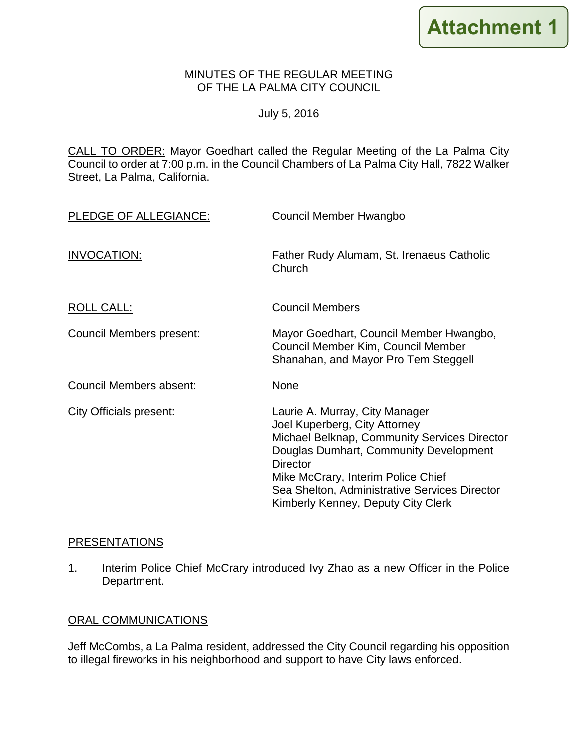### MINUTES OF THE REGULAR MEETING OF THE LA PALMA CITY COUNCIL

## July 5, 2016

CALL TO ORDER: [Mayor Goedhart called the Regular Meeting of the La Palma City](http://lapalma.granicus.com/MediaPlayer.php?view_id=&clip_id=1017&meta_id=134750)  [Council to order at 7:00 p.m. in the Council Chambers of La Palma City Hall, 7822 Walker](http://lapalma.granicus.com/MediaPlayer.php?view_id=&clip_id=1017&meta_id=134750)  [Street, La Palma, California.](http://lapalma.granicus.com/MediaPlayer.php?view_id=&clip_id=1017&meta_id=134750)

| PLEDGE OF ALLEGIANCE:          | Council Member Hwangbo                                                                                                                                                                                                                                                                                    |
|--------------------------------|-----------------------------------------------------------------------------------------------------------------------------------------------------------------------------------------------------------------------------------------------------------------------------------------------------------|
| INVOCATION:                    | Father Rudy Alumam, St. Irenaeus Catholic<br>Church                                                                                                                                                                                                                                                       |
| ROLL CALL:                     | <b>Council Members</b>                                                                                                                                                                                                                                                                                    |
| Council Members present:       | Mayor Goedhart, Council Member Hwangbo,<br>Council Member Kim, Council Member<br>Shanahan, and Mayor Pro Tem Steggell                                                                                                                                                                                     |
| Council Members absent:        | None                                                                                                                                                                                                                                                                                                      |
| <b>City Officials present:</b> | Laurie A. Murray, City Manager<br>Joel Kuperberg, City Attorney<br>Michael Belknap, Community Services Director<br>Douglas Dumhart, Community Development<br><b>Director</b><br>Mike McCrary, Interim Police Chief<br>Sea Shelton, Administrative Services Director<br>Kimberly Kenney, Deputy City Clerk |

# [PRESENTATIONS](http://lapalma.granicus.com/MediaPlayer.php?view_id=&clip_id=1017&meta_id=134754)

1. [Interim Police Chief McCrary introduced Ivy Zhao as a new Officer in the Police](http://lapalma.granicus.com/MediaPlayer.php?view_id=&clip_id=1017&meta_id=134755)  [Department.](http://lapalma.granicus.com/MediaPlayer.php?view_id=&clip_id=1017&meta_id=134755)

## [ORAL COMMUNICATIONS](http://lapalma.granicus.com/MediaPlayer.php?view_id=&clip_id=1017&meta_id=134756)

Jeff McCombs, a La Palma resident, addressed the City Council regarding his opposition to illegal fireworks in his neighborhood and support to have City laws enforced.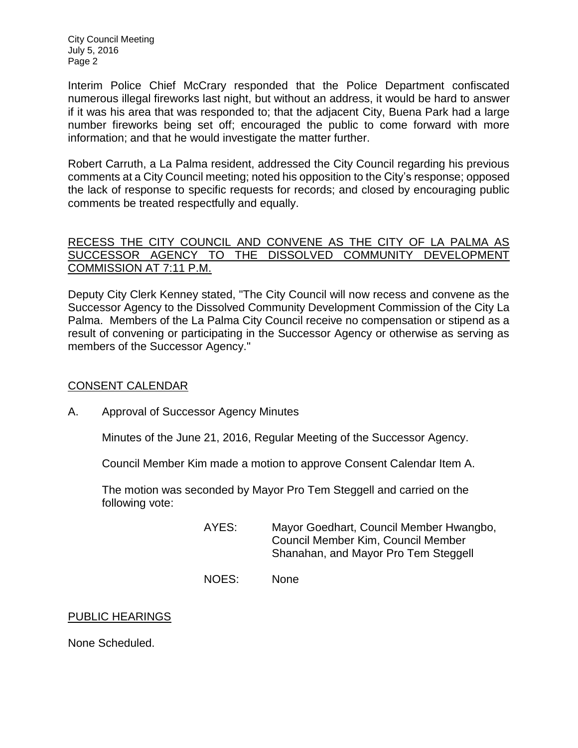City Council Meeting July 5, 2016 Page 2

Interim Police Chief McCrary responded that the Police Department confiscated numerous illegal fireworks last night, but without an address, it would be hard to answer if it was his area that was responded to; that the adjacent City, Buena Park had a large number fireworks being set off; encouraged the public to come forward with more information; and that he would investigate the matter further.

Robert Carruth, a La Palma resident, addressed the City Council regarding his previous comments at a City Council meeting; noted his opposition to the City's response; opposed the lack of response to specific requests for records; and closed by encouraging public comments be treated respectfully and equally.

## RECESS THE CITY COUNCIL AND CONVENE AS THE CITY OF LA PALMA AS [SUCCESSOR AGENCY TO THE DISSOLVED COMMUNITY DEVELOPMENT](http://lapalma.granicus.com/MediaPlayer.php?view_id=&clip_id=1017&meta_id=134761)  [COMMISSION AT 7:11 P.M.](http://lapalma.granicus.com/MediaPlayer.php?view_id=&clip_id=1017&meta_id=134761)

Deputy City Clerk Kenney stated, "The City Council will now recess and convene as the Successor Agency to the Dissolved Community Development Commission of the City La Palma. Members of the La Palma City Council receive no compensation or stipend as a result of convening or participating in the Successor Agency or otherwise as serving as members of the Successor Agency."

## [CONSENT CALENDAR](http://lapalma.granicus.com/MediaPlayer.php?view_id=&clip_id=1017&meta_id=134763)

A. [Approval of Successor Agency Minutes](http://lapalma.granicus.com/MediaPlayer.php?view_id=&clip_id=1017&meta_id=134764)

Minutes of the June 21, 2016, Regular Meeting of the Successor Agency.

Council Member Kim made a motion to approve Consent Calendar Item A.

The motion was seconded by Mayor Pro Tem Steggell and carried on the following vote:

- AYES: Mayor Goedhart, Council Member Hwangbo, Council Member Kim, Council Member Shanahan, and Mayor Pro Tem Steggell
- NOES: None

## PUBLIC HEARINGS

None Scheduled.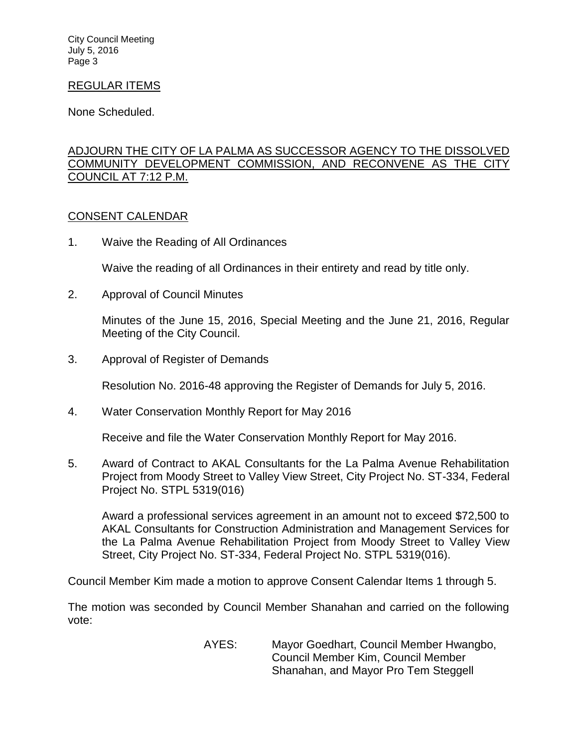City Council Meeting July 5, 2016 Page 3

### REGULAR ITEMS

None Scheduled.

## [ADJOURN THE CITY OF LA PALMA AS SUCCESSOR AGENCY TO THE DISSOLVED](http://lapalma.granicus.com/MediaPlayer.php?view_id=&clip_id=1017&meta_id=134770)  [COMMUNITY DEVELOPMENT COMMISSION, AND RECONVENE AS THE CITY](http://lapalma.granicus.com/MediaPlayer.php?view_id=&clip_id=1017&meta_id=134770)  [COUNCIL AT 7:12 P.M.](http://lapalma.granicus.com/MediaPlayer.php?view_id=&clip_id=1017&meta_id=134770)

### [CONSENT CALENDAR](http://lapalma.granicus.com/MediaPlayer.php?view_id=&clip_id=1017&meta_id=134771)

1. Waive the Reading of All Ordinances

Waive the reading of all Ordinances in their entirety and read by title only.

2. Approval of Council Minutes

Minutes of the June 15, 2016, Special Meeting and the June 21, 2016, Regular Meeting of the City Council.

3. Approval of Register of Demands

Resolution No. 2016-48 approving the Register of Demands for July 5, 2016.

4. Water Conservation Monthly Report for May 2016

Receive and file the Water Conservation Monthly Report for May 2016.

5. Award of Contract to AKAL Consultants for the La Palma Avenue Rehabilitation Project from Moody Street to Valley View Street, City Project No. ST-334, Federal Project No. STPL 5319(016)

Award a professional services agreement in an amount not to exceed \$72,500 to AKAL Consultants for Construction Administration and Management Services for the La Palma Avenue Rehabilitation Project from Moody Street to Valley View Street, City Project No. ST-334, Federal Project No. STPL 5319(016).

Council Member Kim made a motion to approve Consent Calendar Items 1 through 5.

The motion was seconded by Council Member Shanahan and carried on the following vote:

> AYES: Mayor Goedhart, Council Member Hwangbo, Council Member Kim, Council Member Shanahan, and Mayor Pro Tem Steggell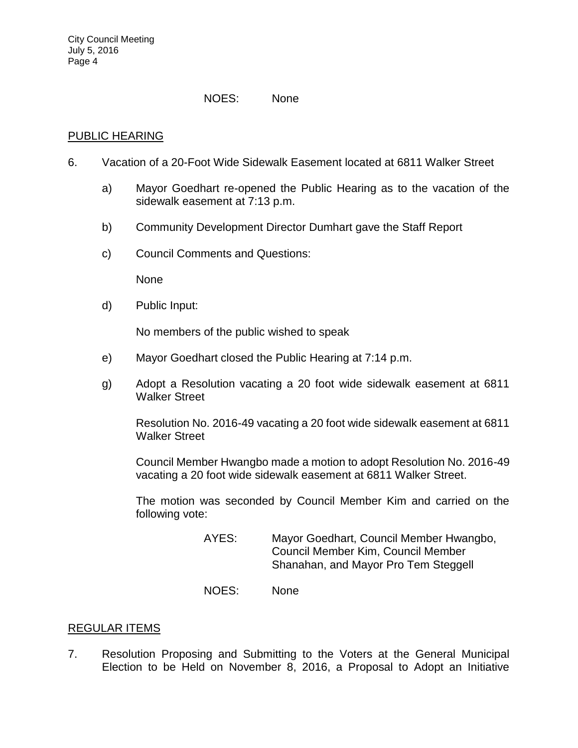#### NOES: None

### PUBLIC HEARING

- 6. [Vacation of a 20-Foot Wide Sidewalk Easement located at 6811 Walker Street](http://lapalma.granicus.com/MediaPlayer.php?view_id=&clip_id=1017&meta_id=134783)
	- a) [Mayor Goedhart re-opened the Public Hearing as to the vacation of the](http://lapalma.granicus.com/MediaPlayer.php?view_id=&clip_id=1017&meta_id=134784)  [sidewalk easement at 7:13 p.m.](http://lapalma.granicus.com/MediaPlayer.php?view_id=&clip_id=1017&meta_id=134784)
	- b) [Community Development Director Dumhart gave the Staff Report](http://lapalma.granicus.com/MediaPlayer.php?view_id=&clip_id=1017&meta_id=134785)
	- c) [Council Comments and Questions:](http://lapalma.granicus.com/MediaPlayer.php?view_id=&clip_id=1017&meta_id=134786)

None

d) [Public Input:](http://lapalma.granicus.com/MediaPlayer.php?view_id=&clip_id=1017&meta_id=134788)

No members of the public wished to speak

- e) [Mayor Goedhart closed the Public Hearing at 7:14 p.m.](http://lapalma.granicus.com/MediaPlayer.php?view_id=&clip_id=1017&meta_id=134790)
- g) [Adopt a Resolution vacating a 20 foot wide sidewalk easement at 6811](http://lapalma.granicus.com/MediaPlayer.php?view_id=&clip_id=1017&meta_id=134791)  [Walker Street](http://lapalma.granicus.com/MediaPlayer.php?view_id=&clip_id=1017&meta_id=134791)

Resolution No. 2016-49 vacating a 20 foot wide sidewalk easement at 6811 Walker Street

Council Member Hwangbo made a motion to adopt Resolution No. 2016-49 vacating a 20 foot wide sidewalk easement at 6811 Walker Street.

The motion was seconded by Council Member Kim and carried on the following vote:

- AYES: Mayor Goedhart, Council Member Hwangbo, Council Member Kim, Council Member Shanahan, and Mayor Pro Tem Steggell
- NOES: None

## [REGULAR ITEMS](http://lapalma.granicus.com/MediaPlayer.php?view_id=&clip_id=1017&meta_id=134795)

7. [Resolution Proposing and Submitting to the Voters at the General Municipal](http://lapalma.granicus.com/MediaPlayer.php?view_id=&clip_id=1017&meta_id=134796)  [Election to be Held on November 8, 2016, a Proposal to Adopt an Initiative](http://lapalma.granicus.com/MediaPlayer.php?view_id=&clip_id=1017&meta_id=134796)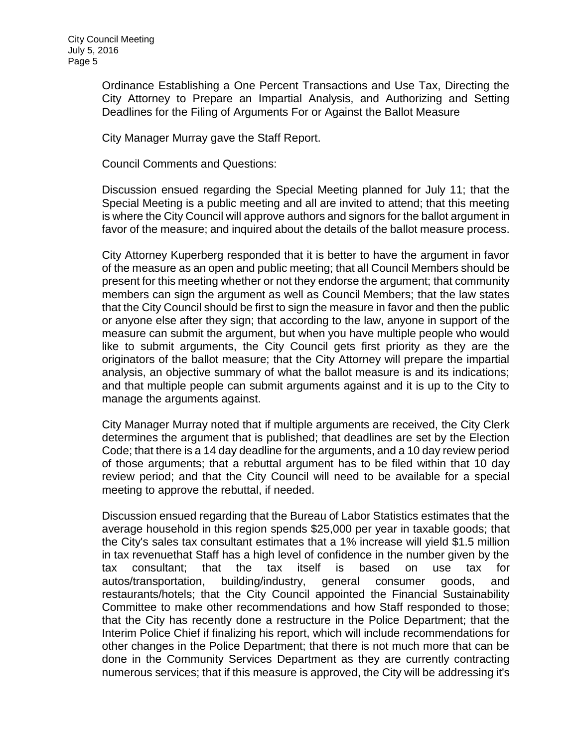[Ordinance Establishing a One Percent Transactions and Use Tax, Directing the](http://lapalma.granicus.com/MediaPlayer.php?view_id=&clip_id=1017&meta_id=134796)  [City Attorney to Prepare an Impartial Analysis, and Authorizing and Setting](http://lapalma.granicus.com/MediaPlayer.php?view_id=&clip_id=1017&meta_id=134796)  [Deadlines for the Filing of Arguments For or Against the Ballot Measure](http://lapalma.granicus.com/MediaPlayer.php?view_id=&clip_id=1017&meta_id=134796)

City Manager Murray gave the Staff Report.

Council Comments and Questions:

Discussion ensued regarding the Special Meeting planned for July 11; that the Special Meeting is a public meeting and all are invited to attend; that this meeting is where the City Council will approve authors and signors for the ballot argument in favor of the measure; and inquired about the details of the ballot measure process.

City Attorney Kuperberg responded that it is better to have the argument in favor of the measure as an open and public meeting; that all Council Members should be present for this meeting whether or not they endorse the argument; that community members can sign the argument as well as Council Members; that the law states that the City Council should be first to sign the measure in favor and then the public or anyone else after they sign; that according to the law, anyone in support of the measure can submit the argument, but when you have multiple people who would like to submit arguments, the City Council gets first priority as they are the originators of the ballot measure; that the City Attorney will prepare the impartial analysis, an objective summary of what the ballot measure is and its indications; and that multiple people can submit arguments against and it is up to the City to manage the arguments against.

City Manager Murray noted that if multiple arguments are received, the City Clerk determines the argument that is published; that deadlines are set by the Election Code; that there is a 14 day deadline for the arguments, and a 10 day review period of those arguments; that a rebuttal argument has to be filed within that 10 day review period; and that the City Council will need to be available for a special meeting to approve the rebuttal, if needed.

Discussion ensued regarding that the Bureau of Labor Statistics estimates that the average household in this region spends \$25,000 per year in taxable goods; that the City's sales tax consultant estimates that a 1% increase will yield \$1.5 million in tax revenuethat Staff has a high level of confidence in the number given by the tax consultant; that the tax itself is based on use tax for autos/transportation, building/industry, general consumer goods, and restaurants/hotels; that the City Council appointed the Financial Sustainability Committee to make other recommendations and how Staff responded to those; that the City has recently done a restructure in the Police Department; that the Interim Police Chief if finalizing his report, which will include recommendations for other changes in the Police Department; that there is not much more that can be done in the Community Services Department as they are currently contracting numerous services; that if this measure is approved, the City will be addressing it's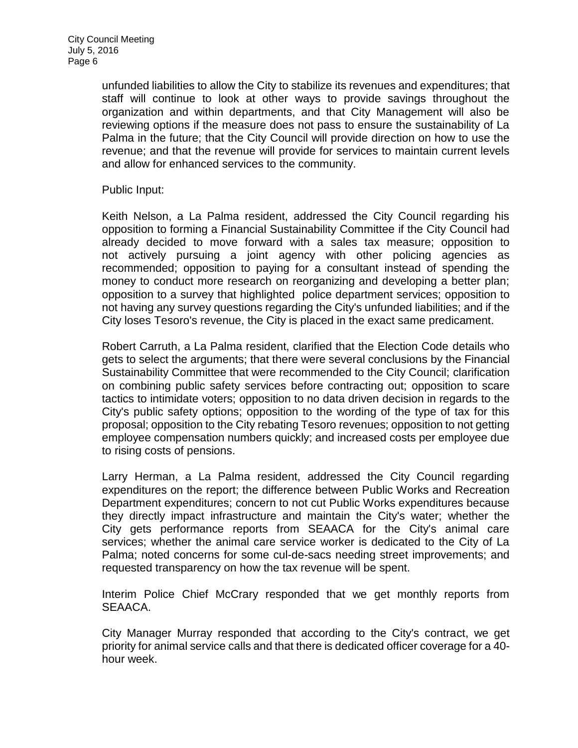unfunded liabilities to allow the City to stabilize its revenues and expenditures; that staff will continue to look at other ways to provide savings throughout the organization and within departments, and that City Management will also be reviewing options if the measure does not pass to ensure the sustainability of La Palma in the future; that the City Council will provide direction on how to use the revenue; and that the revenue will provide for services to maintain current levels and allow for enhanced services to the community.

## Public Input:

Keith Nelson, a La Palma resident, addressed the City Council regarding his opposition to forming a Financial Sustainability Committee if the City Council had already decided to move forward with a sales tax measure; opposition to not actively pursuing a joint agency with other policing agencies as recommended; opposition to paying for a consultant instead of spending the money to conduct more research on reorganizing and developing a better plan; opposition to a survey that highlighted police department services; opposition to not having any survey questions regarding the City's unfunded liabilities; and if the City loses Tesoro's revenue, the City is placed in the exact same predicament.

Robert Carruth, a La Palma resident, clarified that the Election Code details who gets to select the arguments; that there were several conclusions by the Financial Sustainability Committee that were recommended to the City Council; clarification on combining public safety services before contracting out; opposition to scare tactics to intimidate voters; opposition to no data driven decision in regards to the City's public safety options; opposition to the wording of the type of tax for this proposal; opposition to the City rebating Tesoro revenues; opposition to not getting employee compensation numbers quickly; and increased costs per employee due to rising costs of pensions.

Larry Herman, a La Palma resident, addressed the City Council regarding expenditures on the report; the difference between Public Works and Recreation Department expenditures; concern to not cut Public Works expenditures because they directly impact infrastructure and maintain the City's water; whether the City gets performance reports from SEAACA for the City's animal care services; whether the animal care service worker is dedicated to the City of La Palma; noted concerns for some cul-de-sacs needing street improvements; and requested transparency on how the tax revenue will be spent.

Interim Police Chief McCrary responded that we get monthly reports from SEAACA.

City Manager Murray responded that according to the City's contract, we get priority for animal service calls and that there is dedicated officer coverage for a 40 hour week.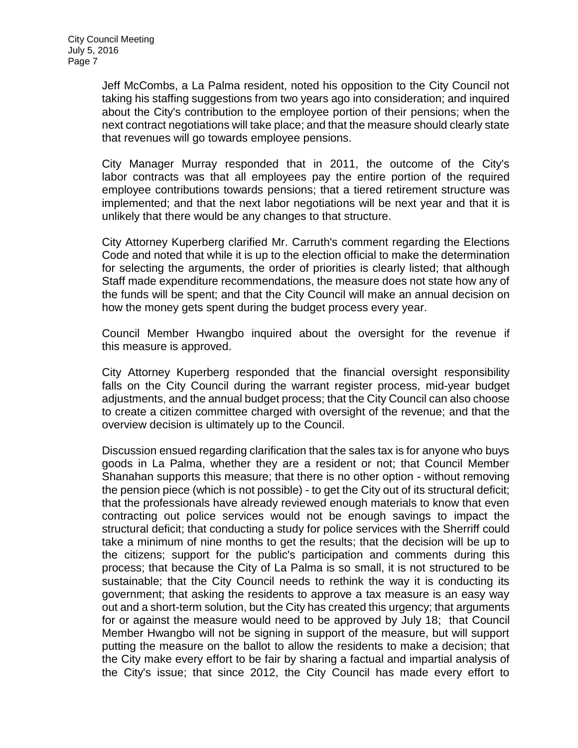Jeff McCombs, a La Palma resident, noted his opposition to the City Council not taking his staffing suggestions from two years ago into consideration; and inquired about the City's contribution to the employee portion of their pensions; when the next contract negotiations will take place; and that the measure should clearly state that revenues will go towards employee pensions.

City Manager Murray responded that in 2011, the outcome of the City's labor contracts was that all employees pay the entire portion of the required employee contributions towards pensions; that a tiered retirement structure was implemented; and that the next labor negotiations will be next year and that it is unlikely that there would be any changes to that structure.

City Attorney Kuperberg clarified Mr. Carruth's comment regarding the Elections Code and noted that while it is up to the election official to make the determination for selecting the arguments, the order of priorities is clearly listed; that although Staff made expenditure recommendations, the measure does not state how any of the funds will be spent; and that the City Council will make an annual decision on how the money gets spent during the budget process every year.

Council Member Hwangbo inquired about the oversight for the revenue if this measure is approved.

City Attorney Kuperberg responded that the financial oversight responsibility falls on the City Council during the warrant register process, mid-year budget adjustments, and the annual budget process; that the City Council can also choose to create a citizen committee charged with oversight of the revenue; and that the overview decision is ultimately up to the Council.

Discussion ensued regarding clarification that the sales tax is for anyone who buys goods in La Palma, whether they are a resident or not; that Council Member Shanahan supports this measure; that there is no other option - without removing the pension piece (which is not possible) - to get the City out of its structural deficit; that the professionals have already reviewed enough materials to know that even contracting out police services would not be enough savings to impact the structural deficit; that conducting a study for police services with the Sherriff could take a minimum of nine months to get the results; that the decision will be up to the citizens; support for the public's participation and comments during this process; that because the City of La Palma is so small, it is not structured to be sustainable; that the City Council needs to rethink the way it is conducting its government; that asking the residents to approve a tax measure is an easy way out and a short-term solution, but the City has created this urgency; that arguments for or against the measure would need to be approved by July 18; that Council Member Hwangbo will not be signing in support of the measure, but will support putting the measure on the ballot to allow the residents to make a decision; that the City make every effort to be fair by sharing a factual and impartial analysis of the City's issue; that since 2012, the City Council has made every effort to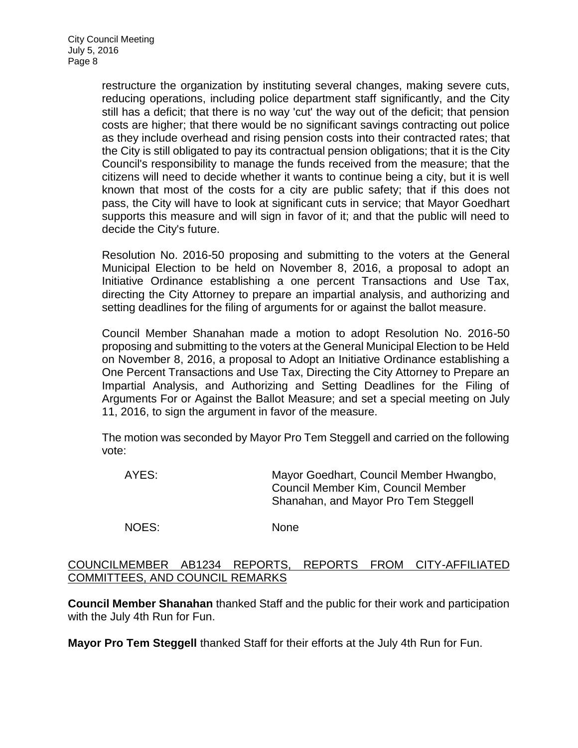restructure the organization by instituting several changes, making severe cuts, reducing operations, including police department staff significantly, and the City still has a deficit; that there is no way 'cut' the way out of the deficit; that pension costs are higher; that there would be no significant savings contracting out police as they include overhead and rising pension costs into their contracted rates; that the City is still obligated to pay its contractual pension obligations; that it is the City Council's responsibility to manage the funds received from the measure; that the citizens will need to decide whether it wants to continue being a city, but it is well known that most of the costs for a city are public safety; that if this does not pass, the City will have to look at significant cuts in service; that Mayor Goedhart supports this measure and will sign in favor of it; and that the public will need to decide the City's future.

Resolution No. 2016-50 proposing and submitting to the voters at the General Municipal Election to be held on November 8, 2016, a proposal to adopt an Initiative Ordinance establishing a one percent Transactions and Use Tax, directing the City Attorney to prepare an impartial analysis, and authorizing and setting deadlines for the filing of arguments for or against the ballot measure.

Council Member Shanahan made a motion to adopt Resolution No. 2016-50 proposing and submitting to the voters at the General Municipal Election to be Held on November 8, 2016, a proposal to Adopt an Initiative Ordinance establishing a One Percent Transactions and Use Tax, Directing the City Attorney to Prepare an Impartial Analysis, and Authorizing and Setting Deadlines for the Filing of Arguments For or Against the Ballot Measure; and set a special meeting on July 11, 2016, to sign the argument in favor of the measure.

The motion was seconded by Mayor Pro Tem Steggell and carried on the following vote:

| AYES: | Mayor Goedhart, Council Member Hwangbo,<br>Council Member Kim, Council Member<br>Shanahan, and Mayor Pro Tem Steggell |
|-------|-----------------------------------------------------------------------------------------------------------------------|
| NOES: | <b>None</b>                                                                                                           |

## [COUNCILMEMBER AB1234 REPORTS, REPORTS FROM CITY-AFFILIATED](http://lapalma.granicus.com/MediaPlayer.php?view_id=&clip_id=1017&meta_id=134822)  [COMMITTEES, AND COUNCIL REMARKS](http://lapalma.granicus.com/MediaPlayer.php?view_id=&clip_id=1017&meta_id=134822)

**Council Member Shanahan** thanked Staff and the public for their work and participation with the July 4th Run for Fun.

**Mayor Pro Tem Steggell** thanked Staff for their efforts at the July 4th Run for Fun.